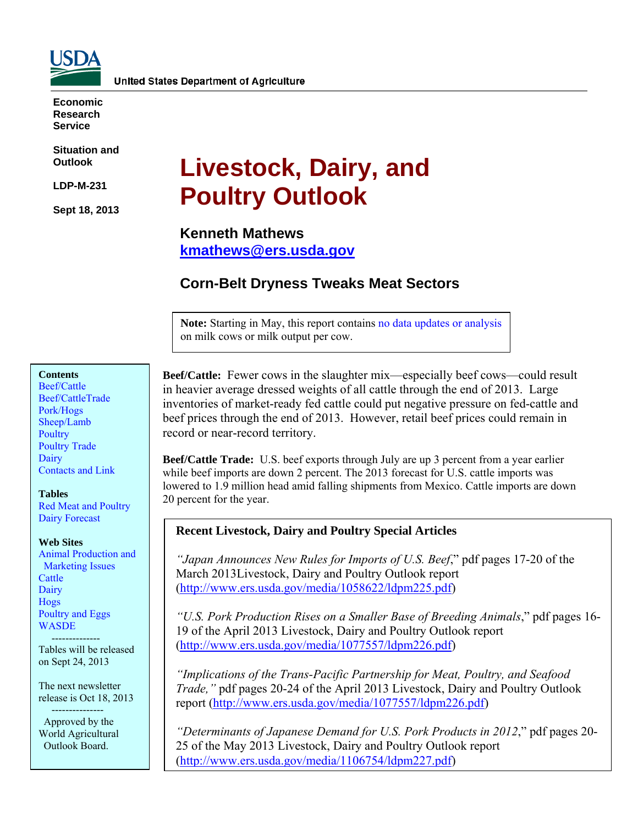

**Economic Research Service** 

**Situation and Outlook** 

**LDP-M-231** 

**Sept 18, 2013** 

# **Livestock, Dairy, and Poultry Outlook**

**Kenneth Mathews kmathews@ers.usda.gov** 

# **Corn-Belt Dryness Tweaks Meat Sectors**

**Note:** Starting in May, this report contains no data updates or analysis on milk cows or milk output per cow.

#### **Contents**

[Beef/Cattle](#page-2-0)  [Beef/CattleTrade](#page-3-0)  [Pork/Hogs](#page--1-0)  [Sheep/Lamb](#page-6-0)  **Poultry** [Poultry Trade](#page-11-0)  [Dairy](#page-13-0)  [Contacts and Link](#page-15-0) 

#### **Tables**

[Red Meat and Poultry](#page-16-0)  [Dairy Forecast](#page-17-0) 

#### **Web Sites**

[Animal Production and](http://www.ers.usda.gov/topics/animal-products/animal-production-marketing-issues.aspx)  Marketing Issues **Cattle** [Dairy](http://www.ers.usda.gov/topics/animal-products/dairy.aspx)  **Hogs** [Poultry and Eggs](http://www.ers.usda.gov/topics/animal-products/poultry-eggs.aspx)  [WASDE](http://usda.mannlib.cornell.edu/MannUsda/viewDocumentInfo.do?documentID=1194) 

 -------------- Tables will be released on Sept 24, 2013

The next newsletter release is Oct 18, 2013

 Approved by the World Agricultural Outlook Board.

---------------

**Beef/Cattle:** Fewer cows in the slaughter mix—especially beef cows—could result in heavier average dressed weights of all cattle through the end of 2013. Large inventories of market-ready fed cattle could put negative pressure on fed-cattle and beef prices through the end of 2013. However, retail beef prices could remain in record or near-record territory.

**Beef/Cattle Trade:** U.S. beef exports through July are up 3 percent from a year earlier while beef imports are down 2 percent. The 2013 forecast for U.S. cattle imports was lowered to 1.9 million head amid falling shipments from Mexico. Cattle imports are down 20 percent for the year.

#### **Recent Livestock, Dairy and Poultry Special Articles**

*"Japan Announces New Rules for Imports of U.S. Beef*," pdf pages 17-20 of the March 2013Livestock, Dairy and Poultry Outlook report (http://www.ers.usda.gov/media/1058622/ldpm225.pdf)

*"U.S. Pork Production Rises on a Smaller Base of Breeding Animals*," pdf pages 16- 19 of the April 2013 Livestock, Dairy and Poultry Outlook report (http://www.ers.usda.gov/media/1077557/ldpm226.pdf)

*"Implications of the Trans-Pacific Partnership for Meat, Poultry, and Seafood Trade,"* pdf pages 20-24 of the April 2013 Livestock, Dairy and Poultry Outlook report (http://www.ers.usda.gov/media/1077557/ldpm226.pdf)

*"Determinants of Japanese Demand for U.S. Pork Products in 2012*," pdf pages 20- 25 of the May 2013 Livestock, Dairy and Poultry Outlook report (http://www.ers.usda.gov/media/1106754/ldpm227.pdf)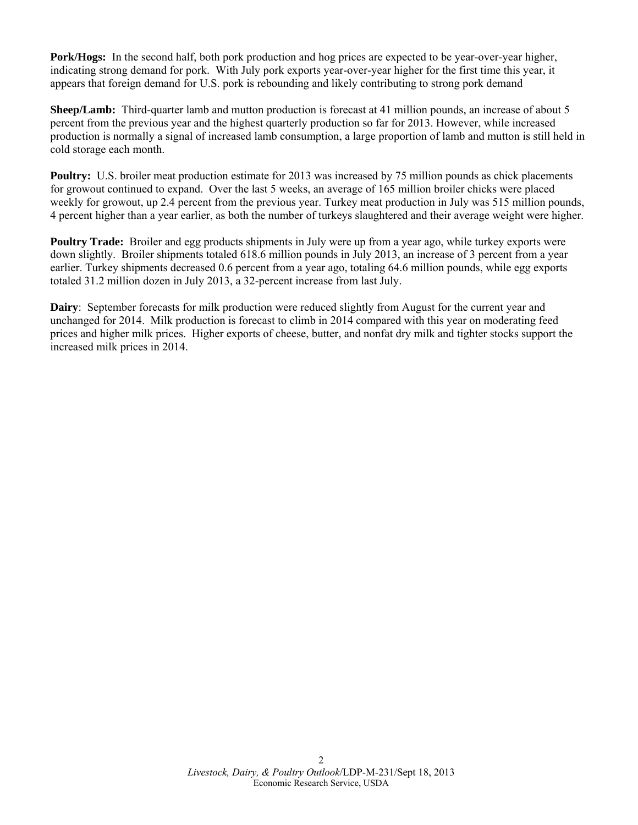**Pork/Hogs:** In the second half, both pork production and hog prices are expected to be year-over-year higher, indicating strong demand for pork. With July pork exports year-over-year higher for the first time this year, it appears that foreign demand for U.S. pork is rebounding and likely contributing to strong pork demand

**Sheep/Lamb:** Third-quarter lamb and mutton production is forecast at 41 million pounds, an increase of about 5 percent from the previous year and the highest quarterly production so far for 2013. However, while increased production is normally a signal of increased lamb consumption, a large proportion of lamb and mutton is still held in cold storage each month.

**Poultry:** U.S. broiler meat production estimate for 2013 was increased by 75 million pounds as chick placements for growout continued to expand. Over the last 5 weeks, an average of 165 million broiler chicks were placed weekly for growout, up 2.4 percent from the previous year. Turkey meat production in July was 515 million pounds, 4 percent higher than a year earlier, as both the number of turkeys slaughtered and their average weight were higher.

**Poultry Trade:** Broiler and egg products shipments in July were up from a year ago, while turkey exports were down slightly. Broiler shipments totaled 618.6 million pounds in July 2013, an increase of 3 percent from a year earlier. Turkey shipments decreased 0.6 percent from a year ago, totaling 64.6 million pounds, while egg exports totaled 31.2 million dozen in July 2013, a 32-percent increase from last July.

**Dairy:** September forecasts for milk production were reduced slightly from August for the current year and unchanged for 2014. Milk production is forecast to climb in 2014 compared with this year on moderating feed prices and higher milk prices. Higher exports of cheese, butter, and nonfat dry milk and tighter stocks support the increased milk prices in 2014.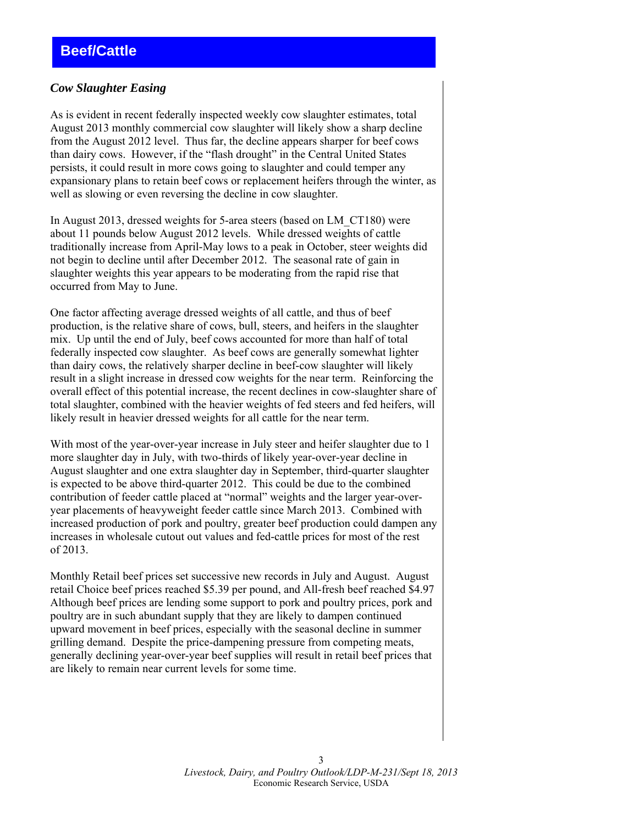#### <span id="page-2-0"></span>*Cow Slaughter Easing*

As is evident in recent federally inspected weekly cow slaughter estimates, total August 2013 monthly commercial cow slaughter will likely show a sharp decline from the August 2012 level. Thus far, the decline appears sharper for beef cows than dairy cows. However, if the "flash drought" in the Central United States persists, it could result in more cows going to slaughter and could temper any expansionary plans to retain beef cows or replacement heifers through the winter, as well as slowing or even reversing the decline in cow slaughter.

In August 2013, dressed weights for 5-area steers (based on LM\_CT180) were about 11 pounds below August 2012 levels. While dressed weights of cattle traditionally increase from April-May lows to a peak in October, steer weights did not begin to decline until after December 2012. The seasonal rate of gain in slaughter weights this year appears to be moderating from the rapid rise that occurred from May to June.

One factor affecting average dressed weights of all cattle, and thus of beef production, is the relative share of cows, bull, steers, and heifers in the slaughter mix. Up until the end of July, beef cows accounted for more than half of total federally inspected cow slaughter. As beef cows are generally somewhat lighter than dairy cows, the relatively sharper decline in beef-cow slaughter will likely result in a slight increase in dressed cow weights for the near term. Reinforcing the overall effect of this potential increase, the recent declines in cow-slaughter share of total slaughter, combined with the heavier weights of fed steers and fed heifers, will likely result in heavier dressed weights for all cattle for the near term.

With most of the year-over-year increase in July steer and heifer slaughter due to 1 more slaughter day in July, with two-thirds of likely year-over-year decline in August slaughter and one extra slaughter day in September, third-quarter slaughter is expected to be above third-quarter 2012. This could be due to the combined contribution of feeder cattle placed at "normal" weights and the larger year-overyear placements of heavyweight feeder cattle since March 2013. Combined with increased production of pork and poultry, greater beef production could dampen any increases in wholesale cutout out values and fed-cattle prices for most of the rest of 2013.

Monthly Retail beef prices set successive new records in July and August. August retail Choice beef prices reached \$5.39 per pound, and All-fresh beef reached \$4.97 Although beef prices are lending some support to pork and poultry prices, pork and poultry are in such abundant supply that they are likely to dampen continued upward movement in beef prices, especially with the seasonal decline in summer grilling demand. Despite the price-dampening pressure from competing meats, generally declining year-over-year beef supplies will result in retail beef prices that are likely to remain near current levels for some time.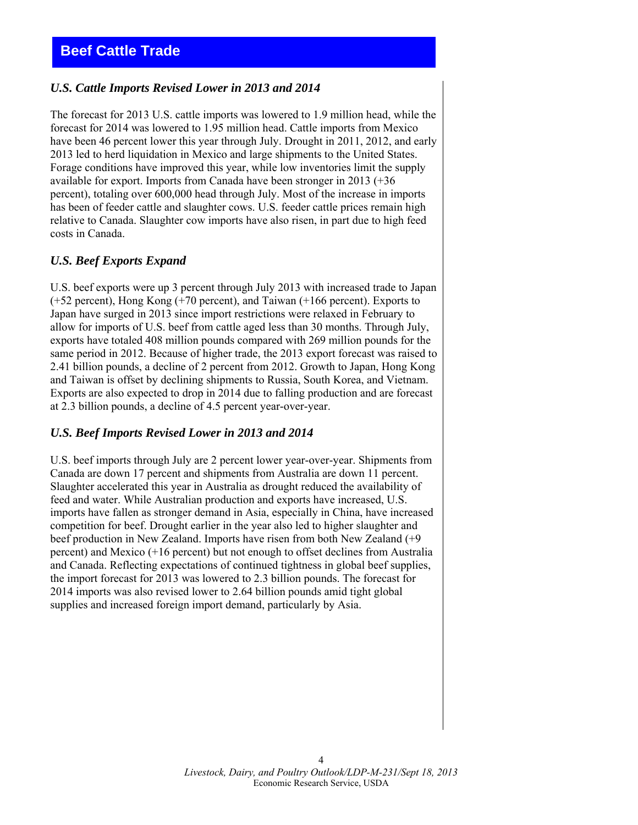# <span id="page-3-0"></span>**Beef Cattle Trade**

#### *U.S. Cattle Imports Revised Lower in 2013 and 2014*

The forecast for 2013 U.S. cattle imports was lowered to 1.9 million head, while the forecast for 2014 was lowered to 1.95 million head. Cattle imports from Mexico have been 46 percent lower this year through July. Drought in 2011, 2012, and early 2013 led to herd liquidation in Mexico and large shipments to the United States. Forage conditions have improved this year, while low inventories limit the supply available for export. Imports from Canada have been stronger in 2013 (+36 percent), totaling over 600,000 head through July. Most of the increase in imports has been of feeder cattle and slaughter cows. U.S. feeder cattle prices remain high relative to Canada. Slaughter cow imports have also risen, in part due to high feed costs in Canada.

#### *U.S. Beef Exports Expand*

U.S. beef exports were up 3 percent through July 2013 with increased trade to Japan (+52 percent), Hong Kong (+70 percent), and Taiwan (+166 percent). Exports to Japan have surged in 2013 since import restrictions were relaxed in February to allow for imports of U.S. beef from cattle aged less than 30 months. Through July, exports have totaled 408 million pounds compared with 269 million pounds for the same period in 2012. Because of higher trade, the 2013 export forecast was raised to 2.41 billion pounds, a decline of 2 percent from 2012. Growth to Japan, Hong Kong and Taiwan is offset by declining shipments to Russia, South Korea, and Vietnam. Exports are also expected to drop in 2014 due to falling production and are forecast at 2.3 billion pounds, a decline of 4.5 percent year-over-year.

#### *U.S. Beef Imports Revised Lower in 2013 and 2014*

U.S. beef imports through July are 2 percent lower year-over-year. Shipments from Canada are down 17 percent and shipments from Australia are down 11 percent. Slaughter accelerated this year in Australia as drought reduced the availability of feed and water. While Australian production and exports have increased, U.S. imports have fallen as stronger demand in Asia, especially in China, have increased competition for beef. Drought earlier in the year also led to higher slaughter and beef production in New Zealand. Imports have risen from both New Zealand (+9 percent) and Mexico (+16 percent) but not enough to offset declines from Australia and Canada. Reflecting expectations of continued tightness in global beef supplies, the import forecast for 2013 was lowered to 2.3 billion pounds. The forecast for 2014 imports was also revised lower to 2.64 billion pounds amid tight global supplies and increased foreign import demand, particularly by Asia.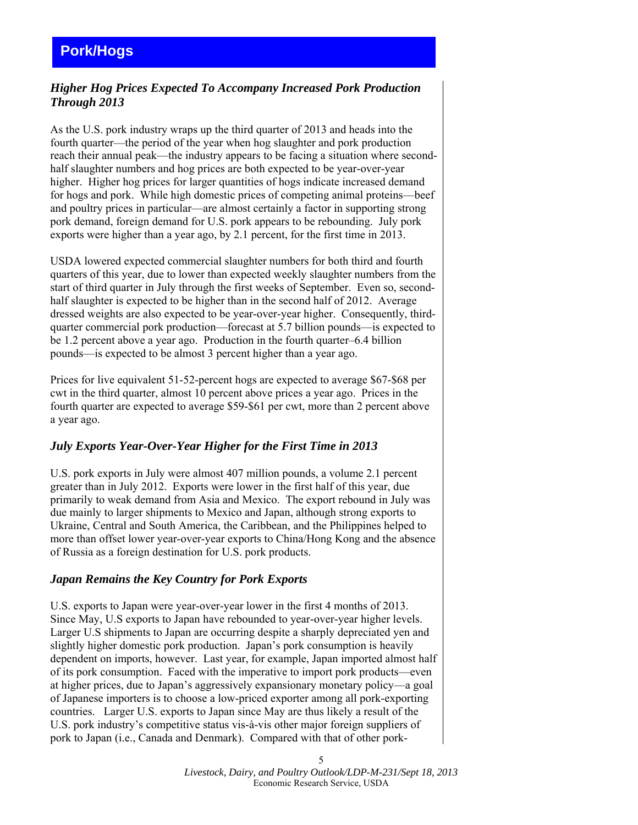# *Higher Hog Prices Expected To Accompany Increased Pork Production Through 2013*

As the U.S. pork industry wraps up the third quarter of 2013 and heads into the fourth quarter—the period of the year when hog slaughter and pork production reach their annual peak—the industry appears to be facing a situation where secondhalf slaughter numbers and hog prices are both expected to be year-over-year higher. Higher hog prices for larger quantities of hogs indicate increased demand for hogs and pork. While high domestic prices of competing animal proteins—beef and poultry prices in particular—are almost certainly a factor in supporting strong pork demand, foreign demand for U.S. pork appears to be rebounding. July pork exports were higher than a year ago, by 2.1 percent, for the first time in 2013.

USDA lowered expected commercial slaughter numbers for both third and fourth quarters of this year, due to lower than expected weekly slaughter numbers from the start of third quarter in July through the first weeks of September. Even so, secondhalf slaughter is expected to be higher than in the second half of 2012. Average dressed weights are also expected to be year-over-year higher. Consequently, thirdquarter commercial pork production—forecast at 5.7 billion pounds—is expected to be 1.2 percent above a year ago. Production in the fourth quarter–6.4 billion pounds—is expected to be almost 3 percent higher than a year ago.

Prices for live equivalent 51-52-percent hogs are expected to average \$67-\$68 per cwt in the third quarter, almost 10 percent above prices a year ago. Prices in the fourth quarter are expected to average \$59-\$61 per cwt, more than 2 percent above a year ago.

## *July Exports Year-Over-Year Higher for the First Time in 2013*

U.S. pork exports in July were almost 407 million pounds, a volume 2.1 percent greater than in July 2012. Exports were lower in the first half of this year, due primarily to weak demand from Asia and Mexico. The export rebound in July was due mainly to larger shipments to Mexico and Japan, although strong exports to Ukraine, Central and South America, the Caribbean, and the Philippines helped to more than offset lower year-over-year exports to China/Hong Kong and the absence of Russia as a foreign destination for U.S. pork products.

## *Japan Remains the Key Country for Pork Exports*

U.S. exports to Japan were year-over-year lower in the first 4 months of 2013. Since May, U.S exports to Japan have rebounded to year-over-year higher levels. Larger U.S shipments to Japan are occurring despite a sharply depreciated yen and slightly higher domestic pork production. Japan's pork consumption is heavily dependent on imports, however. Last year, for example, Japan imported almost half of its pork consumption. Faced with the imperative to import pork products—even at higher prices, due to Japan's aggressively expansionary monetary policy—a goal of Japanese importers is to choose a low-priced exporter among all pork-exporting countries. Larger U.S. exports to Japan since May are thus likely a result of the U.S. pork industry's competitive status vis-à-vis other major foreign suppliers of pork to Japan (i.e., Canada and Denmark). Compared with that of other pork-

> *Livestock, Dairy, and Poultry Outlook/LDP-M-231/Sept 18, 2013*  Economic Research Service, USDA

5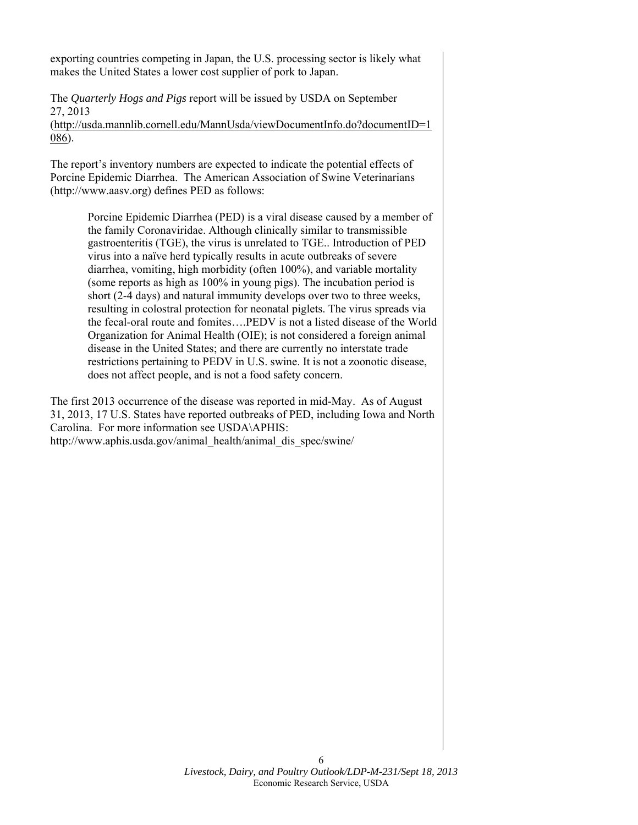exporting countries competing in Japan, the U.S. processing sector is likely what makes the United States a lower cost supplier of pork to Japan.

The *Quarterly Hogs and Pigs* report will be issued by USDA on September 27, 2013 (http://usda.mannlib.cornell.edu/MannUsda/viewDocumentInfo.do?documentID=1 086).

The report's inventory numbers are expected to indicate the potential effects of Porcine Epidemic Diarrhea. The American Association of Swine Veterinarians (http://www.aasv.org) defines PED as follows:

> Porcine Epidemic Diarrhea (PED) is a viral disease caused by a member of the family Coronaviridae. Although clinically similar to transmissible gastroenteritis (TGE), the virus is unrelated to TGE.. Introduction of PED virus into a naïve herd typically results in acute outbreaks of severe diarrhea, vomiting, high morbidity (often 100%), and variable mortality (some reports as high as 100% in young pigs). The incubation period is short (2-4 days) and natural immunity develops over two to three weeks, resulting in colostral protection for neonatal piglets. The virus spreads via the fecal-oral route and fomites….PEDV is not a listed disease of the World Organization for Animal Health (OIE); is not considered a foreign animal disease in the United States; and there are currently no interstate trade restrictions pertaining to PEDV in U.S. swine. It is not a zoonotic disease, does not affect people, and is not a food safety concern.

The first 2013 occurrence of the disease was reported in mid-May. As of August 31, 2013, 17 U.S. States have reported outbreaks of PED, including Iowa and North Carolina. For more information see USDA\APHIS: http://www.aphis.usda.gov/animal\_health/animal\_dis\_spec/swine/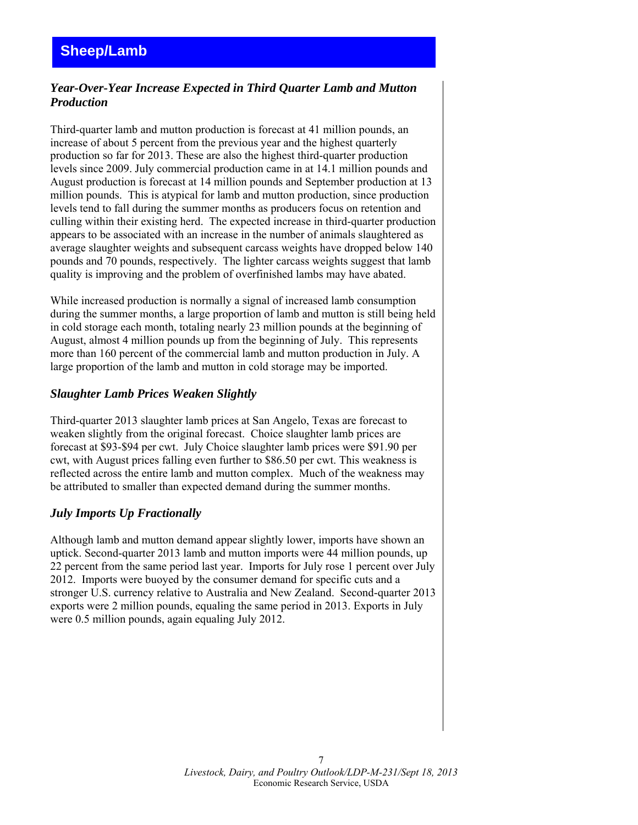# <span id="page-6-0"></span>*Year-Over-Year Increase Expected in Third Quarter Lamb and Mutton Production*

Third-quarter lamb and mutton production is forecast at 41 million pounds, an increase of about 5 percent from the previous year and the highest quarterly production so far for 2013. These are also the highest third-quarter production levels since 2009. July commercial production came in at 14.1 million pounds and August production is forecast at 14 million pounds and September production at 13 million pounds. This is atypical for lamb and mutton production, since production levels tend to fall during the summer months as producers focus on retention and culling within their existing herd. The expected increase in third-quarter production appears to be associated with an increase in the number of animals slaughtered as average slaughter weights and subsequent carcass weights have dropped below 140 pounds and 70 pounds, respectively. The lighter carcass weights suggest that lamb quality is improving and the problem of overfinished lambs may have abated.

While increased production is normally a signal of increased lamb consumption during the summer months, a large proportion of lamb and mutton is still being held in cold storage each month, totaling nearly 23 million pounds at the beginning of August, almost 4 million pounds up from the beginning of July. This represents more than 160 percent of the commercial lamb and mutton production in July. A large proportion of the lamb and mutton in cold storage may be imported.

## *Slaughter Lamb Prices Weaken Slightly*

Third-quarter 2013 slaughter lamb prices at San Angelo, Texas are forecast to weaken slightly from the original forecast. Choice slaughter lamb prices are forecast at \$93-\$94 per cwt. July Choice slaughter lamb prices were \$91.90 per cwt, with August prices falling even further to \$86.50 per cwt. This weakness is reflected across the entire lamb and mutton complex. Much of the weakness may be attributed to smaller than expected demand during the summer months.

## *July Imports Up Fractionally*

Although lamb and mutton demand appear slightly lower, imports have shown an uptick. Second-quarter 2013 lamb and mutton imports were 44 million pounds, up 22 percent from the same period last year. Imports for July rose 1 percent over July 2012. Imports were buoyed by the consumer demand for specific cuts and a stronger U.S. currency relative to Australia and New Zealand. Second-quarter 2013 exports were 2 million pounds, equaling the same period in 2013. Exports in July were 0.5 million pounds, again equaling July 2012.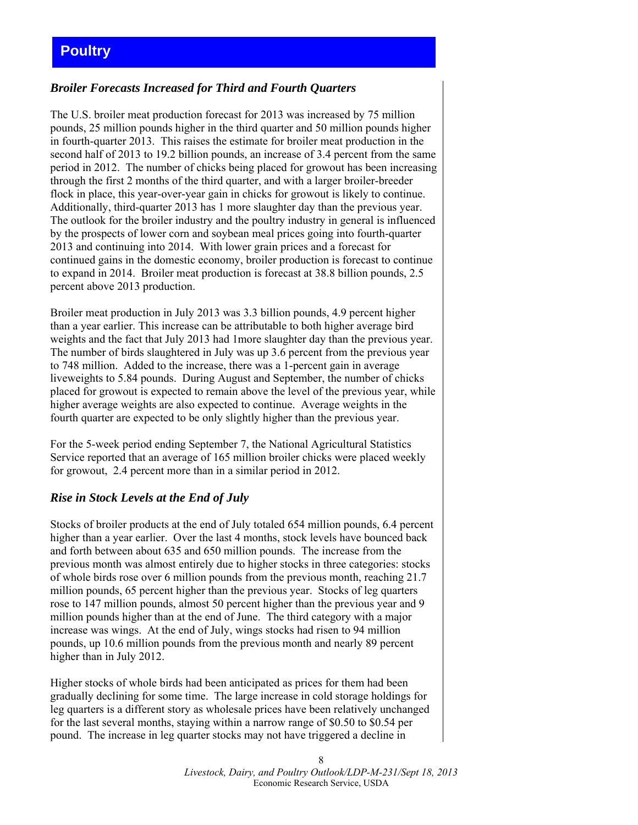# <span id="page-7-0"></span>**Poultry**

## *Broiler Forecasts Increased for Third and Fourth Quarters*

The U.S. broiler meat production forecast for 2013 was increased by 75 million pounds, 25 million pounds higher in the third quarter and 50 million pounds higher in fourth-quarter 2013. This raises the estimate for broiler meat production in the second half of 2013 to 19.2 billion pounds, an increase of 3.4 percent from the same period in 2012. The number of chicks being placed for growout has been increasing through the first 2 months of the third quarter, and with a larger broiler-breeder flock in place, this year-over-year gain in chicks for growout is likely to continue. Additionally, third-quarter 2013 has 1 more slaughter day than the previous year. The outlook for the broiler industry and the poultry industry in general is influenced by the prospects of lower corn and soybean meal prices going into fourth-quarter 2013 and continuing into 2014. With lower grain prices and a forecast for continued gains in the domestic economy, broiler production is forecast to continue to expand in 2014. Broiler meat production is forecast at 38.8 billion pounds, 2.5 percent above 2013 production.

Broiler meat production in July 2013 was 3.3 billion pounds, 4.9 percent higher than a year earlier. This increase can be attributable to both higher average bird weights and the fact that July 2013 had 1more slaughter day than the previous year. The number of birds slaughtered in July was up 3.6 percent from the previous year to 748 million. Added to the increase, there was a 1-percent gain in average liveweights to 5.84 pounds. During August and September, the number of chicks placed for growout is expected to remain above the level of the previous year, while higher average weights are also expected to continue. Average weights in the fourth quarter are expected to be only slightly higher than the previous year.

For the 5-week period ending September 7, the National Agricultural Statistics Service reported that an average of 165 million broiler chicks were placed weekly for growout, 2.4 percent more than in a similar period in 2012.

## *Rise in Stock Levels at the End of July*

Stocks of broiler products at the end of July totaled 654 million pounds, 6.4 percent higher than a year earlier. Over the last 4 months, stock levels have bounced back and forth between about 635 and 650 million pounds. The increase from the previous month was almost entirely due to higher stocks in three categories: stocks of whole birds rose over 6 million pounds from the previous month, reaching 21.7 million pounds, 65 percent higher than the previous year. Stocks of leg quarters rose to 147 million pounds, almost 50 percent higher than the previous year and 9 million pounds higher than at the end of June. The third category with a major increase was wings. At the end of July, wings stocks had risen to 94 million pounds, up 10.6 million pounds from the previous month and nearly 89 percent higher than in July 2012.

Higher stocks of whole birds had been anticipated as prices for them had been gradually declining for some time. The large increase in cold storage holdings for leg quarters is a different story as wholesale prices have been relatively unchanged for the last several months, staying within a narrow range of \$0.50 to \$0.54 per pound. The increase in leg quarter stocks may not have triggered a decline in

> 8 *Livestock, Dairy, and Poultry Outlook/LDP-M-231/Sept 18, 2013*  Economic Research Service, USDA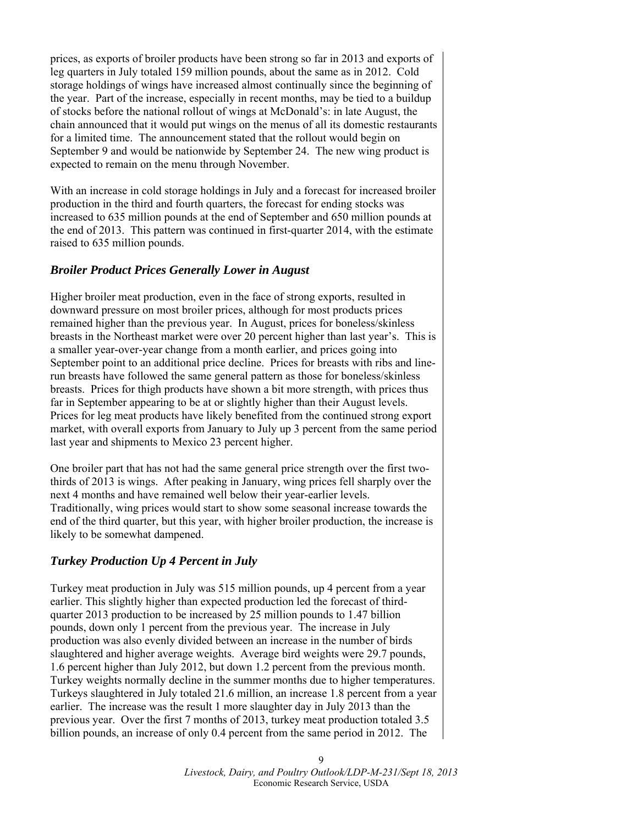prices, as exports of broiler products have been strong so far in 2013 and exports of leg quarters in July totaled 159 million pounds, about the same as in 2012. Cold storage holdings of wings have increased almost continually since the beginning of the year. Part of the increase, especially in recent months, may be tied to a buildup of stocks before the national rollout of wings at McDonald's: in late August, the chain announced that it would put wings on the menus of all its domestic restaurants for a limited time. The announcement stated that the rollout would begin on September 9 and would be nationwide by September 24. The new wing product is expected to remain on the menu through November.

With an increase in cold storage holdings in July and a forecast for increased broiler production in the third and fourth quarters, the forecast for ending stocks was increased to 635 million pounds at the end of September and 650 million pounds at the end of 2013. This pattern was continued in first-quarter 2014, with the estimate raised to 635 million pounds.

#### *Broiler Product Prices Generally Lower in August*

Higher broiler meat production, even in the face of strong exports, resulted in downward pressure on most broiler prices, although for most products prices remained higher than the previous year. In August, prices for boneless/skinless breasts in the Northeast market were over 20 percent higher than last year's. This is a smaller year-over-year change from a month earlier, and prices going into September point to an additional price decline. Prices for breasts with ribs and linerun breasts have followed the same general pattern as those for boneless/skinless breasts. Prices for thigh products have shown a bit more strength, with prices thus far in September appearing to be at or slightly higher than their August levels. Prices for leg meat products have likely benefited from the continued strong export market, with overall exports from January to July up 3 percent from the same period last year and shipments to Mexico 23 percent higher.

One broiler part that has not had the same general price strength over the first twothirds of 2013 is wings. After peaking in January, wing prices fell sharply over the next 4 months and have remained well below their year-earlier levels. Traditionally, wing prices would start to show some seasonal increase towards the end of the third quarter, but this year, with higher broiler production, the increase is likely to be somewhat dampened.

## *Turkey Production Up 4 Percent in July*

Turkey meat production in July was 515 million pounds, up 4 percent from a year earlier. This slightly higher than expected production led the forecast of thirdquarter 2013 production to be increased by 25 million pounds to 1.47 billion pounds, down only 1 percent from the previous year. The increase in July production was also evenly divided between an increase in the number of birds slaughtered and higher average weights. Average bird weights were 29.7 pounds, 1.6 percent higher than July 2012, but down 1.2 percent from the previous month. Turkey weights normally decline in the summer months due to higher temperatures. Turkeys slaughtered in July totaled 21.6 million, an increase 1.8 percent from a year earlier. The increase was the result 1 more slaughter day in July 2013 than the previous year. Over the first 7 months of 2013, turkey meat production totaled 3.5 billion pounds, an increase of only 0.4 percent from the same period in 2012. The

> $\overline{Q}$ *Livestock, Dairy, and Poultry Outlook/LDP-M-231/Sept 18, 2013*  Economic Research Service, USDA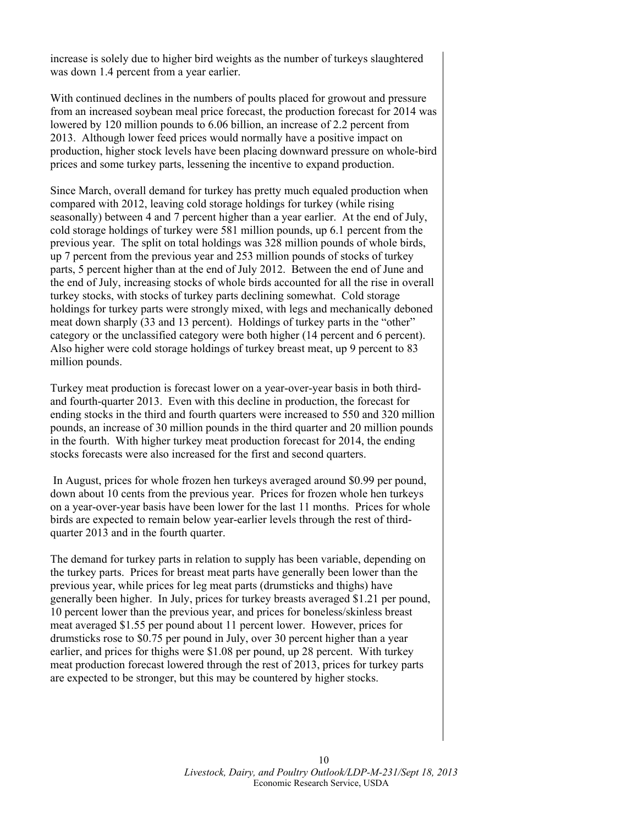increase is solely due to higher bird weights as the number of turkeys slaughtered was down 1.4 percent from a year earlier.

With continued declines in the numbers of poults placed for growout and pressure from an increased soybean meal price forecast, the production forecast for 2014 was lowered by 120 million pounds to 6.06 billion, an increase of 2.2 percent from 2013. Although lower feed prices would normally have a positive impact on production, higher stock levels have been placing downward pressure on whole-bird prices and some turkey parts, lessening the incentive to expand production.

Since March, overall demand for turkey has pretty much equaled production when compared with 2012, leaving cold storage holdings for turkey (while rising seasonally) between 4 and 7 percent higher than a year earlier. At the end of July, cold storage holdings of turkey were 581 million pounds, up 6.1 percent from the previous year. The split on total holdings was 328 million pounds of whole birds, up 7 percent from the previous year and 253 million pounds of stocks of turkey parts, 5 percent higher than at the end of July 2012. Between the end of June and the end of July, increasing stocks of whole birds accounted for all the rise in overall turkey stocks, with stocks of turkey parts declining somewhat. Cold storage holdings for turkey parts were strongly mixed, with legs and mechanically deboned meat down sharply (33 and 13 percent). Holdings of turkey parts in the "other" category or the unclassified category were both higher (14 percent and 6 percent). Also higher were cold storage holdings of turkey breast meat, up 9 percent to 83 million pounds.

Turkey meat production is forecast lower on a year-over-year basis in both thirdand fourth-quarter 2013. Even with this decline in production, the forecast for ending stocks in the third and fourth quarters were increased to 550 and 320 million pounds, an increase of 30 million pounds in the third quarter and 20 million pounds in the fourth. With higher turkey meat production forecast for 2014, the ending stocks forecasts were also increased for the first and second quarters.

In August, prices for whole frozen hen turkeys averaged around \$0.99 per pound, down about 10 cents from the previous year. Prices for frozen whole hen turkeys on a year-over-year basis have been lower for the last 11 months. Prices for whole birds are expected to remain below year-earlier levels through the rest of thirdquarter 2013 and in the fourth quarter.

The demand for turkey parts in relation to supply has been variable, depending on the turkey parts. Prices for breast meat parts have generally been lower than the previous year, while prices for leg meat parts (drumsticks and thighs) have generally been higher. In July, prices for turkey breasts averaged \$1.21 per pound, 10 percent lower than the previous year, and prices for boneless/skinless breast meat averaged \$1.55 per pound about 11 percent lower. However, prices for drumsticks rose to \$0.75 per pound in July, over 30 percent higher than a year earlier, and prices for thighs were \$1.08 per pound, up 28 percent. With turkey meat production forecast lowered through the rest of 2013, prices for turkey parts are expected to be stronger, but this may be countered by higher stocks.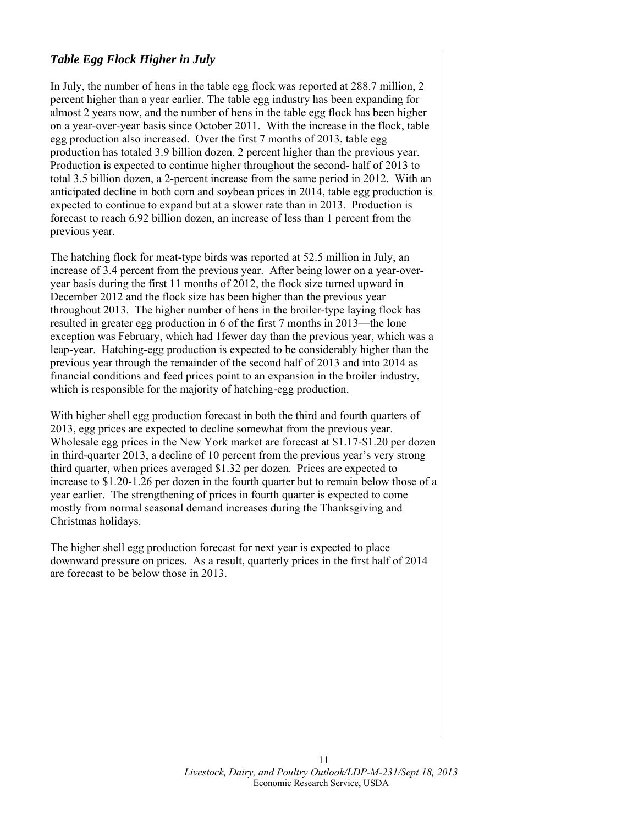## *Table Egg Flock Higher in July*

In July, the number of hens in the table egg flock was reported at 288.7 million, 2 percent higher than a year earlier. The table egg industry has been expanding for almost 2 years now, and the number of hens in the table egg flock has been higher on a year-over-year basis since October 2011. With the increase in the flock, table egg production also increased. Over the first 7 months of 2013, table egg production has totaled 3.9 billion dozen, 2 percent higher than the previous year. Production is expected to continue higher throughout the second- half of 2013 to total 3.5 billion dozen, a 2-percent increase from the same period in 2012. With an anticipated decline in both corn and soybean prices in 2014, table egg production is expected to continue to expand but at a slower rate than in 2013. Production is forecast to reach 6.92 billion dozen, an increase of less than 1 percent from the previous year.

The hatching flock for meat-type birds was reported at 52.5 million in July, an increase of 3.4 percent from the previous year. After being lower on a year-overyear basis during the first 11 months of 2012, the flock size turned upward in December 2012 and the flock size has been higher than the previous year throughout 2013. The higher number of hens in the broiler-type laying flock has resulted in greater egg production in 6 of the first 7 months in 2013—the lone exception was February, which had 1fewer day than the previous year, which was a leap-year. Hatching-egg production is expected to be considerably higher than the previous year through the remainder of the second half of 2013 and into 2014 as financial conditions and feed prices point to an expansion in the broiler industry, which is responsible for the majority of hatching-egg production.

With higher shell egg production forecast in both the third and fourth quarters of 2013, egg prices are expected to decline somewhat from the previous year. Wholesale egg prices in the New York market are forecast at \$1.17-\$1.20 per dozen in third-quarter 2013, a decline of 10 percent from the previous year's very strong third quarter, when prices averaged \$1.32 per dozen. Prices are expected to increase to \$1.20-1.26 per dozen in the fourth quarter but to remain below those of a year earlier. The strengthening of prices in fourth quarter is expected to come mostly from normal seasonal demand increases during the Thanksgiving and Christmas holidays.

The higher shell egg production forecast for next year is expected to place downward pressure on prices. As a result, quarterly prices in the first half of 2014 are forecast to be below those in 2013.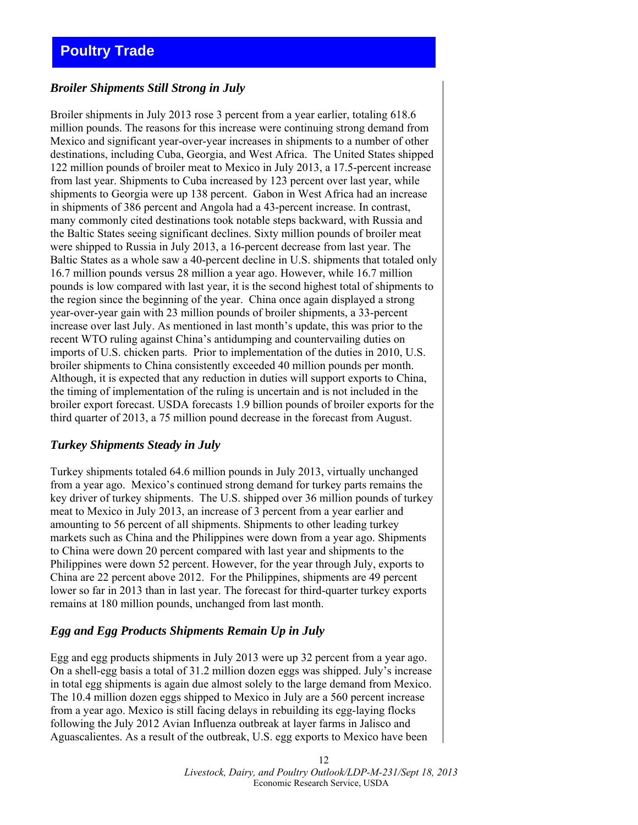# <span id="page-11-0"></span>**Poultry Trade**

#### *Broiler Shipments Still Strong in July*

Broiler shipments in July 2013 rose 3 percent from a year earlier, totaling 618.6 million pounds. The reasons for this increase were continuing strong demand from Mexico and significant year-over-year increases in shipments to a number of other destinations, including Cuba, Georgia, and West Africa. The United States shipped 122 million pounds of broiler meat to Mexico in July 2013, a 17.5-percent increase from last year. Shipments to Cuba increased by 123 percent over last year, while shipments to Georgia were up 138 percent. Gabon in West Africa had an increase in shipments of 386 percent and Angola had a 43-percent increase. In contrast, many commonly cited destinations took notable steps backward, with Russia and the Baltic States seeing significant declines. Sixty million pounds of broiler meat were shipped to Russia in July 2013, a 16-percent decrease from last year. The Baltic States as a whole saw a 40-percent decline in U.S. shipments that totaled only 16.7 million pounds versus 28 million a year ago. However, while 16.7 million pounds is low compared with last year, it is the second highest total of shipments to the region since the beginning of the year. China once again displayed a strong year-over-year gain with 23 million pounds of broiler shipments, a 33-percent increase over last July. As mentioned in last month's update, this was prior to the recent WTO ruling against China's antidumping and countervailing duties on imports of U.S. chicken parts. Prior to implementation of the duties in 2010, U.S. broiler shipments to China consistently exceeded 40 million pounds per month. Although, it is expected that any reduction in duties will support exports to China, the timing of implementation of the ruling is uncertain and is not included in the broiler export forecast. USDA forecasts 1.9 billion pounds of broiler exports for the third quarter of 2013, a 75 million pound decrease in the forecast from August.

#### *Turkey Shipments Steady in July*

Turkey shipments totaled 64.6 million pounds in July 2013, virtually unchanged from a year ago. Mexico's continued strong demand for turkey parts remains the key driver of turkey shipments. The U.S. shipped over 36 million pounds of turkey meat to Mexico in July 2013, an increase of 3 percent from a year earlier and amounting to 56 percent of all shipments. Shipments to other leading turkey markets such as China and the Philippines were down from a year ago. Shipments to China were down 20 percent compared with last year and shipments to the Philippines were down 52 percent. However, for the year through July, exports to China are 22 percent above 2012. For the Philippines, shipments are 49 percent lower so far in 2013 than in last year. The forecast for third-quarter turkey exports remains at 180 million pounds, unchanged from last month.

#### *Egg and Egg Products Shipments Remain Up in July*

Egg and egg products shipments in July 2013 were up 32 percent from a year ago. On a shell-egg basis a total of 31.2 million dozen eggs was shipped. July's increase in total egg shipments is again due almost solely to the large demand from Mexico. The 10.4 million dozen eggs shipped to Mexico in July are a 560 percent increase from a year ago. Mexico is still facing delays in rebuilding its egg-laying flocks following the July 2012 Avian Influenza outbreak at layer farms in Jalisco and Aguascalientes. As a result of the outbreak, U.S. egg exports to Mexico have been

> 12 *Livestock, Dairy, and Poultry Outlook/LDP-M-231/Sept 18, 2013*  Economic Research Service, USDA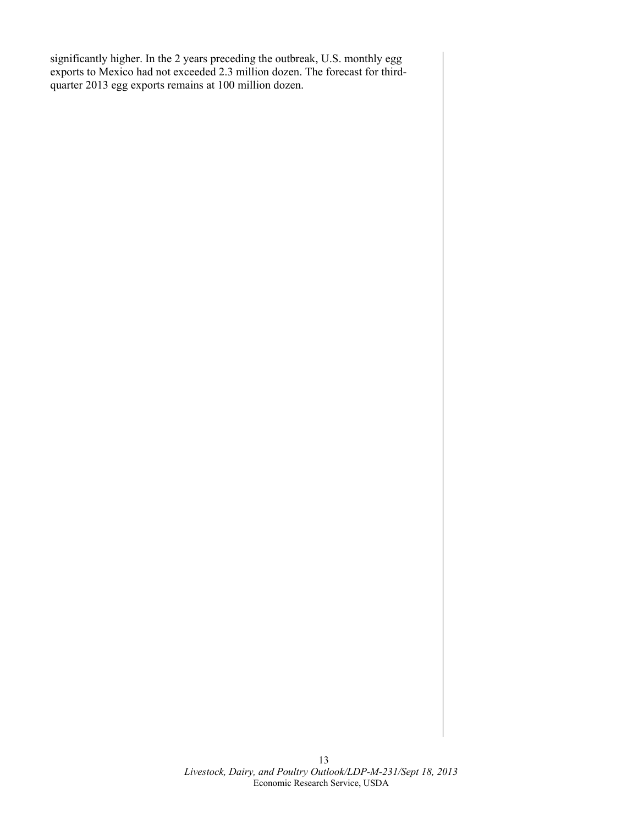significantly higher. In the 2 years preceding the outbreak, U.S. monthly egg exports to Mexico had not exceeded 2.3 million dozen. The forecast for thirdquarter 2013 egg exports remains at 100 million dozen.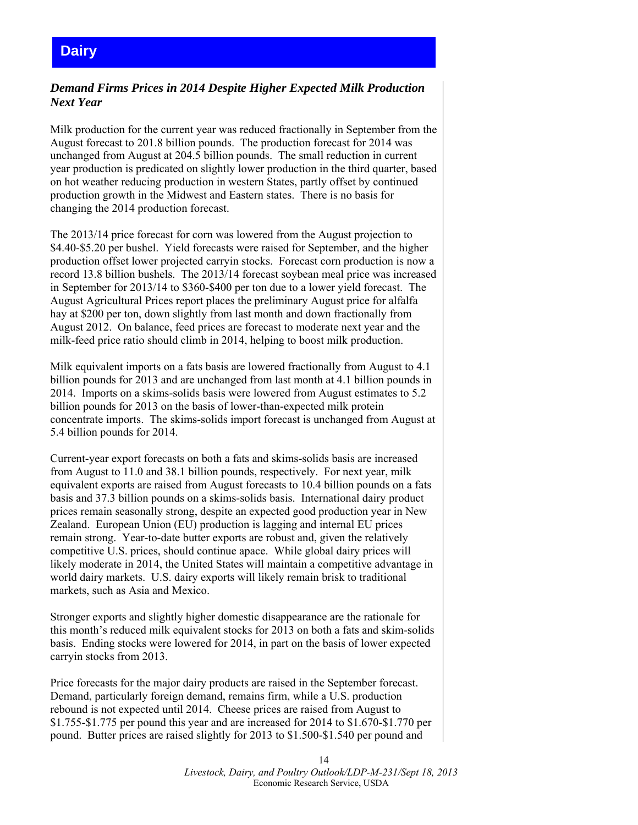# <span id="page-13-0"></span>**Dairy**

## *Demand Firms Prices in 2014 Despite Higher Expected Milk Production Next Year*

Milk production for the current year was reduced fractionally in September from the August forecast to 201.8 billion pounds. The production forecast for 2014 was unchanged from August at 204.5 billion pounds. The small reduction in current year production is predicated on slightly lower production in the third quarter, based on hot weather reducing production in western States, partly offset by continued production growth in the Midwest and Eastern states. There is no basis for changing the 2014 production forecast.

The 2013/14 price forecast for corn was lowered from the August projection to \$4.40-\$5.20 per bushel. Yield forecasts were raised for September, and the higher production offset lower projected carryin stocks. Forecast corn production is now a record 13.8 billion bushels. The 2013/14 forecast soybean meal price was increased in September for 2013/14 to \$360-\$400 per ton due to a lower yield forecast. The August Agricultural Prices report places the preliminary August price for alfalfa hay at \$200 per ton, down slightly from last month and down fractionally from August 2012. On balance, feed prices are forecast to moderate next year and the milk-feed price ratio should climb in 2014, helping to boost milk production.

Milk equivalent imports on a fats basis are lowered fractionally from August to 4.1 billion pounds for 2013 and are unchanged from last month at 4.1 billion pounds in 2014. Imports on a skims-solids basis were lowered from August estimates to 5.2 billion pounds for 2013 on the basis of lower-than-expected milk protein concentrate imports. The skims-solids import forecast is unchanged from August at 5.4 billion pounds for 2014.

Current-year export forecasts on both a fats and skims-solids basis are increased from August to 11.0 and 38.1 billion pounds, respectively. For next year, milk equivalent exports are raised from August forecasts to 10.4 billion pounds on a fats basis and 37.3 billion pounds on a skims-solids basis. International dairy product prices remain seasonally strong, despite an expected good production year in New Zealand. European Union (EU) production is lagging and internal EU prices remain strong. Year-to-date butter exports are robust and, given the relatively competitive U.S. prices, should continue apace. While global dairy prices will likely moderate in 2014, the United States will maintain a competitive advantage in world dairy markets. U.S. dairy exports will likely remain brisk to traditional markets, such as Asia and Mexico.

Stronger exports and slightly higher domestic disappearance are the rationale for this month's reduced milk equivalent stocks for 2013 on both a fats and skim-solids basis. Ending stocks were lowered for 2014, in part on the basis of lower expected carryin stocks from 2013.

Price forecasts for the major dairy products are raised in the September forecast. Demand, particularly foreign demand, remains firm, while a U.S. production rebound is not expected until 2014. Cheese prices are raised from August to \$1.755-\$1.775 per pound this year and are increased for 2014 to \$1.670-\$1.770 per pound. Butter prices are raised slightly for 2013 to \$1.500-\$1.540 per pound and

> 14 *Livestock, Dairy, and Poultry Outlook/LDP-M-231/Sept 18, 2013*  Economic Research Service, USDA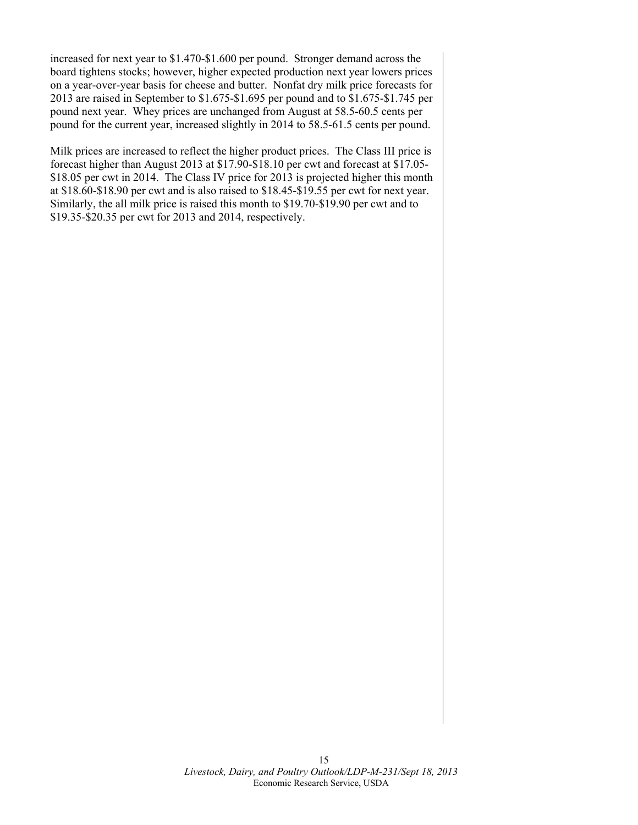increased for next year to \$1.470-\$1.600 per pound. Stronger demand across the board tightens stocks; however, higher expected production next year lowers prices on a year-over-year basis for cheese and butter. Nonfat dry milk price forecasts for 2013 are raised in September to \$1.675-\$1.695 per pound and to \$1.675-\$1.745 per pound next year. Whey prices are unchanged from August at 58.5-60.5 cents per pound for the current year, increased slightly in 2014 to 58.5-61.5 cents per pound.

Milk prices are increased to reflect the higher product prices. The Class III price is forecast higher than August 2013 at \$17.90-\$18.10 per cwt and forecast at \$17.05- \$18.05 per cwt in 2014. The Class IV price for 2013 is projected higher this month at \$18.60-\$18.90 per cwt and is also raised to \$18.45-\$19.55 per cwt for next year. Similarly, the all milk price is raised this month to \$19.70-\$19.90 per cwt and to \$19.35-\$20.35 per cwt for 2013 and 2014, respectively.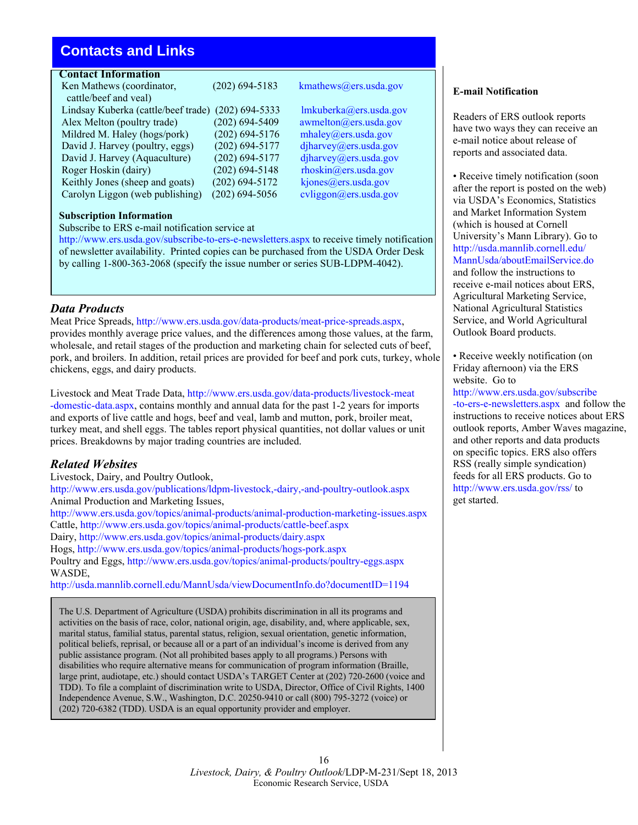# <span id="page-15-0"></span>**Contacts and Links**

#### **Contact Information**

| Ken Mathews (coordinator,           | $(202)$ 694-5183   | kmathews@ers.usda.gov                |
|-------------------------------------|--------------------|--------------------------------------|
| cattle/beef and veal)               |                    |                                      |
| Lindsay Kuberka (cattle/beef trade) | $(202)$ 694-5333   | lmkuberka@ers.usda.gov               |
| Alex Melton (poultry trade)         | $(202) 694 - 5409$ | awmelton@ers.usda.gov                |
| Mildred M. Haley (hogs/pork)        | $(202)$ 694-5176   | mhaley@ers.usda.gov                  |
| David J. Harvey (poultry, eggs)     | $(202)$ 694-5177   | diharvey@ers.usda.gov                |
| David J. Harvey (Aquaculture)       | $(202) 694 - 5177$ | djharvey@ers.usda.gov                |
| Roger Hoskin (dairy)                | $(202)$ 694-5148   | $r \text{hosh}(\omega)$ ers.usda.gov |
| Keithly Jones (sheep and goats)     | $(202)$ 694-5172   | kjones@ers.usda.gov                  |
| Carolyn Liggon (web publishing)     | $(202)$ 694-5056   | cvliggon@ers.usda.gov                |
|                                     |                    |                                      |

#### **Subscription Information**

Subscribe to ERS e-mail notification service at

<http://www.ers.usda.gov/subscribe-to-ers-e-newsletters.aspx> to receive timely notification of newsletter availability. Printed copies can be purchased from the USDA Order Desk by calling 1-800-363-2068 (specify the issue number or series SUB-LDPM-4042).

#### *Data Products*

Meat Price Spreads, <http://www.ers.usda.gov/data-products/meat-price-spreads.aspx>, provides monthly average price values, and the differences among those values, at the farm, wholesale, and retail stages of the production and marketing chain for selected cuts of beef, pork, and broilers. In addition, retail prices are provided for beef and pork cuts, turkey, whole chickens, eggs, and dairy products.

Livestock and Meat Trade Data, [http://www.ers.usda.gov/data-products/livestock-meat](http://www.ers.usda.gov/data-products/livestock-meat-domestic-data.aspx) [-domestic-data.aspx](http://www.ers.usda.gov/data-products/livestock-meat-domestic-data.aspx), contains monthly and annual data for the past 1-2 years for imports and exports of live cattle and hogs, beef and veal, lamb and mutton, pork, broiler meat, turkey meat, and shell eggs. The tables report physical quantities, not dollar values or unit prices. Breakdowns by major trading countries are included.

#### *Related Websites*

Livestock, Dairy, and Poultry Outlook, <http://www.ers.usda.gov/publications/ldpm-livestock,-dairy,-and-poultry-outlook.aspx> Animal Production and Marketing Issues, <http://www.ers.usda.gov/topics/animal-products/animal-production-marketing-issues.aspx> Cattle, <http://www.ers.usda.gov/topics/animal-products/cattle-beef.aspx> Dairy, <http://www.ers.usda.gov/topics/animal-products/dairy.aspx> Hogs, <http://www.ers.usda.gov/topics/animal-products/hogs-pork.aspx> Poultry and Eggs, <http://www.ers.usda.gov/topics/animal-products/poultry-eggs.aspx> WASDE,

<http://usda.mannlib.cornell.edu/MannUsda/viewDocumentInfo.do?documentID=1194>

The U.S. Department of Agriculture (USDA) prohibits discrimination in all its programs and activities on the basis of race, color, national origin, age, disability, and, where applicable, sex, marital status, familial status, parental status, religion, sexual orientation, genetic information, political beliefs, reprisal, or because all or a part of an individual's income is derived from any public assistance program. (Not all prohibited bases apply to all programs.) Persons with disabilities who require alternative means for communication of program information (Braille, large print, audiotape, etc.) should contact USDA's TARGET Center at (202) 720-2600 (voice and TDD). To file a complaint of discrimination write to USDA, Director, Office of Civil Rights, 1400 Independence Avenue, S.W., Washington, D.C. 20250-9410 or call (800) 795-3272 (voice) or (202) 720-6382 (TDD). USDA is an equal opportunity provider and employer.

#### 16 *Livestock, Dairy, & Poultry Outlook*/LDP-M-231/Sept 18, 2013 Economic Research Service, USDA

#### **E-mail Notification**

Readers of ERS outlook reports have two ways they can receive an e-mail notice about release of reports and associated data.

• Receive timely notification (soon after the report is posted on the web) via USDA's Economics, Statistics and Market Information System (which is housed at Cornell University's Mann Library). Go to http://usda.mannlib.cornell.edu/ [MannUsda/aboutEmailService.do](http://usda.mannlib.cornell.edu/ MannUsda/aboutEmailService.do)  and follow the instructions to receive e-mail notices about ERS, Agricultural Marketing Service, National Agricultural Statistics Service, and World Agricultural Outlook Board products.

• Receive weekly notification (on Friday afternoon) via the ERS website. Go to

[http://www.ers.usda.gov/subscribe](http://www.ers.usda.gov/subscribe-to-ers-e-newsletters.aspx) -to-ers-e-newsletters.aspx and follow the instructions to receive notices about ERS outlook reports, Amber Waves magazine, and other reports and data products on specific topics. ERS also offers RSS (really simple syndication) feeds for all ERS products. Go to <http://www.ers.usda.gov/rss/>to get started.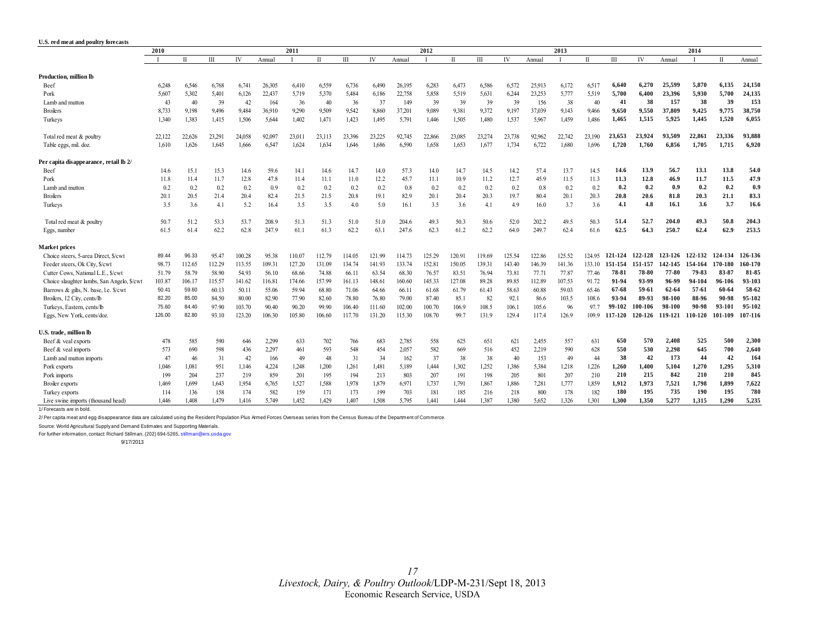<span id="page-16-0"></span>

| U.S. red meat and poultry forecasts        |        |              |        |        |        |        |              |        |        |        |        |              |        |        |        |        |              |         |         |         |         |              |         |
|--------------------------------------------|--------|--------------|--------|--------|--------|--------|--------------|--------|--------|--------|--------|--------------|--------|--------|--------|--------|--------------|---------|---------|---------|---------|--------------|---------|
|                                            | 2010   |              |        |        |        | 2011   |              |        |        |        | 2012   |              |        |        |        | 2013   |              |         |         |         | 2014    |              |         |
|                                            |        | $\mathbf{I}$ | Ш      | IV     | Annual |        | $\mathbf{H}$ | Ш      | IV     | Annual |        | $\mathbf{I}$ | Ш      | IV     | Annual |        | $\mathbf{I}$ | Ш       | IV      | Annual  |         | $\mathbf{H}$ | Annual  |
| Production, million lb                     |        |              |        |        |        |        |              |        |        |        |        |              |        |        |        |        |              |         |         |         |         |              |         |
| Beef                                       | 6.248  | 6,546        | 6,768  | 6,741  | 26,305 | 6,410  | 6.559        | 6,736  | 6,490  | 26,195 | 6,283  | 6,473        | 6,586  | 6,572  | 25.913 | 6,172  | 6,517        | 6,640   | 6,270   | 25,599  | 5,870   | 6,135        | 24,150  |
| Pork                                       | 5.607  | 5,302        | 5,401  | 6,126  | 22,437 | 5,719  | 5.370        | 5,484  | 6,186  | 22,758 | 5,858  | 5.519        | 5,631  | 6,244  | 23,253 | 5,777  | 5,519        | 5,700   | 6,400   | 23,396  | 5,930   | 5,700        | 24,135  |
| Lamb and mutton                            | 43     | 40           | 39     | 42     | 164    | 36     | 40           | 36     | 37     | 149    | 39     | 39           | 39     | 39     | 156    | 38     | 40           | 41      | 38      | 157     | 38      | 39           | 153     |
| <b>Broilers</b>                            | 8,733  | 9,198        | 9,496  | 9,484  | 36,910 | 9,290  | 9,509        | 9,542  | 8,860  | 37,201 | 9,089  | 9,381        | 9,372  | 9,197  | 37,039 | 9,143  | 9,466        | 9,650   | 9,550   | 37,809  | 9,425   | 9,775        | 38,750  |
| Turkeys                                    | 1,340  | 1,383        | 1,415  | 1,506  | 5,644  | 1,402  | 1,471        | 1,423  | 1,495  | 5,791  | 1,446  | 1,505        | 1,480  | 1,537  | 5.967  | 1,459  | 1,486        | 1,465   | 1,515   | 5,925   | 1,445   | 1,520        | 6,055   |
| Total red meat & poultry                   | 22,122 | 22,626       | 23,291 | 24,058 | 92,097 | 23,011 | 23,113       | 23,396 | 23.225 | 92,745 | 22,866 | 23,085       | 23,274 | 23,738 | 92,962 | 22,742 | 23.190       | 23,653  | 23.924  | 93.509  | 22,861  | 23.336       | 93.888  |
| Table eggs, mil. doz.                      | 1.610  | 1,626        | 1,645  | 1,666  | 6,547  | 1,624  | 1,634        | 1,646  | 1.686  | 6,590  | 1.658  | 1,653        | 1,677  | 1.734  | 6,722  | 1,680  | 1,696        | 1,720   | 1.760   | 6,856   | 1,705   | 1,715        | 6,920   |
| Per capita disappearance, retail lb 2/     |        |              |        |        |        |        |              |        |        |        |        |              |        |        |        |        |              |         |         |         |         |              |         |
| Beef                                       | 14.6   | 15.1         | 15.3   | 14.6   | 59.6   | 14.1   | 14.6         | 14.7   | 14.0   | 57.3   | 14.0   | 14.7         | 14.5   | 14.2   | 57.4   | 13.7   | 14.5         | 14.6    | 13.9    | 56.7    | 13.1    | 13.8         | 54.0    |
| Pork                                       | 11.8   | 11.4         | 11.7   | 12.8   | 47.8   | 11.4   | 11.1         | 11.0   | 12.2   | 45.7   | 11.1   | 10.9         | 11.2   | 12.7   | 45.9   | 11.5   | 11.3         | 11.3    | 12.8    | 46.9    | 11.7    | 11.5         | 47.9    |
| Lamb and mutton                            | 0.2    | 0.2          | 0.2    | 0.2    | 0.9    | 0.2    | 0.2          | 0.2    | 0.2    | 0.8    | 0.2    | 0.2          | 0.2    | 0.2    | 0.8    | 0.2    | 0.2          | 0.2     | 0.2     | 0.9     | 0.2     | 0.2          | 0.9     |
| <b>Broilers</b>                            | 20.1   | 20.5         | 21.4   | 20.4   | 82.4   | 21.5   | 21.5         | 20.8   | 19.1   | 82.9   | 20.1   | 20.4         | 20.3   | 19.7   | 80.4   | 20.1   | 20.3         | 20.8    | 20.6    | 81.8    | 20.3    | 21.1         | 83.3    |
| Turkeys                                    | 3.5    | 3.6          | 4.1    | 5.2    | 16.4   | 3.5    | 3.5          | 4.0    | 5.0    | 16.1   | 3.5    | 3.6          | 4.1    | 4.9    | 16.0   | 3.7    | 3.6          | 4.1     | 4.8     | 16.1    | 3.6     | 3.7          | 16.6    |
| Total red meat & poultry                   | 50.7   | 51.2         | 53.3   | 53.7   | 208.9  | 51.3   | 51.3         | 51.0   | 51.0   | 204.6  | 49.3   | 50.3         | 50.6   | 52.0   | 202.2  | 49.5   | 50.3         | 51.4    | 52.7    | 204.0   | 49.3    | 50.8         | 204.3   |
| Eggs, number                               | 61.5   | 61.4         | 62.2   | 62.8   | 247.9  | 61.1   | 61.3         | 62.2   | 63.1   | 247.6  | 62.3   | 61.2         | 62.2   | 64.0   | 249.7  | 62.4   | 61.6         | 62.5    | 64.3    | 250.7   | 62.4    | 62.9         | 253.5   |
| <b>Market prices</b>                       |        |              |        |        |        |        |              |        |        |        |        |              |        |        |        |        |              |         |         |         |         |              |         |
| Choice steers, 5-area Direct, \$/cwt       | 89.44  | 96.33        | 95.47  | 100.28 | 95.38  | 110.07 | 112.79       | 114.05 | 121.99 | 114.73 | 125.29 | 120.91       | 119.69 | 125.54 | 122.86 | 125.52 | 124 95       | 121-124 | 122-128 | 123-126 | 122-132 | 124-134      | 126-136 |
| Feeder steers, Ok City, \$/cwt             | 98.73  | 112.65       | 112.29 | 113.55 | 109.31 | 127.20 | 131.09       | 134.74 | 141.93 | 133.74 | 152.81 | 150.05       | 139.31 | 143.40 | 146.39 | 141.36 | 133.10       | 151-154 | 151-157 | 142-145 | 154-164 | 170-180      | 160-170 |
| Cutter Cows. National L.E., \$/cwt         | 51.79  | 58.79        | 58.90  | 54.93  | 56.10  | 68.66  | 74.88        | 66.11  | 63.54  | 68.30  | 76.57  | 83.51        | 76.94  | 73.81  | 77.71  | 77.87  | 77.46        | 78-81   | 78-80   | 77-80   | 79-83   | 83-87        | 81-85   |
| Choice slaughter lambs, San Angelo, \$/cwt | 103.87 | 106.17       | 115.57 | 141.62 | 116.81 | 174.66 | 157.99       | 161.13 | 148.61 | 160.60 | 145.33 | 127.08       | 89.28  | 89.85  | 112.89 | 107.53 | 91.72        | 91-94   | 93-99   | 96-99   | 94-104  | 96-106       | 93-103  |
| Barrows & gilts, N. base, I.e. \$/cwt      | 50.41  | 59.60        | 60.13  | 50.11  | 55.06  | 59.94  | 68.80        | 71.06  | 64.66  | 66.11  | 61.68  | 61.79        | 61.43  | 58.63  | 60.88  | 59.03  | 65.46        | 67-68   | 59-61   | 62-64   | 57-61   | 60-64        | 58-62   |
| Broilers, 12 City, cents/lb                | 82.20  | 85.00        | 84.50  | 80.00  | 82.90  | 77.90  | 82.60        | 78.80  | 76.80  | 79.00  | 87.40  | 85.1         | 82     | 92.1   | 86.6   | 103.5  | 108.6        | 93-94   | 89-93   | 98-100  | 88-96   | 90-98        | 95-102  |
| Turkeys, Eastern, cents/lb                 | 75.60  | 84.40        | 97.90  | 103.70 | 90.40  | 90.20  | 99.90        | 106.40 | 111.60 | 102.00 | 100.70 | 106.9        | 108.5  | 106.1  | 105.6  | 96     | 97.7         | 99-102  | 100-106 | 98-100  | 90-98   | 93-101       | 95-102  |
| Eggs, New York, cents/doz.                 | 126.00 | 82.80        | 93.10  | 123.20 | 106.30 | 105.80 | 106.60       | 117.70 | 131.20 | 115.30 | 108.70 | 99.7         | 131.9  | 129.4  | 117.4  | 126.9  | 1099         | 117-120 | 120-126 | 119-121 | 110-120 | 101-109      | 107-116 |
| U.S. trade, million lb                     |        |              |        |        |        |        |              |        |        |        |        |              |        |        |        |        |              |         |         |         |         |              |         |
| Beef & veal exports                        | 478    | 585          | 590    | 646    | 2,299  | 633    | 702          | 766    | 683    | 2,785  | 558    | 625          | 651    | 621    | 2,455  | 557    | 631          | 650     | 570     | 2,408   | 525     | 500          | 2,300   |
| Beef & veal imports                        | 573    | 690          | 598    | 436    | 2,297  | 461    | 593          | 548    | 454    | 2.057  | 582    | 669          | 516    | 452    | 2,219  | 590    | 628          | 550     | 530     | 2,298   | 645     | 700          | 2,640   |
| Lamb and mutton imports                    | 47     | 46           | 31     | 42     | 166    | 49     | 48           | 31     | 34     | 162    | 37     | 38           | 38     | 40     | 153    | 49     | 44           | 38      | 42      | 173     | 44      | 42           | 164     |
| Pork exports                               | 1.046  | 1,081        | 951    | 1,146  | 4,224  | 1,248  | 1,200        | 1,261  | 1,481  | 5,189  | 1,444  | 1.302        | 1,252  | 1,386  | 5.384  | 1,218  | 1,226        | 1,260   | 1.400   | 5,104   | 1,270   | 1,295        | 5,310   |
| Pork imports                               | 199    | 204          | 237    | 219    | 859    | 201    | 195          | 194    | 213    | 803    | 207    | 191          | 198    | 205    | 801    | 207    | 210          | 210     | 215     | 842     | 210     | 210          | 845     |
| Broiler exports                            | 1.469  | 1,699        | 1,643  | 1,954  | 6,765  | 1,527  | 1.588        | 1,978  | 1.879  | 6,971  | 1,737  | 1,791        | 1,867  | 1,886  | 7,281  | 1,777  | 1,859        | 1,912   | 1.973   | 7,521   | 1,798   | 1.899        | 7,622   |
| Turkey exports                             | 114    | 136          | 158    | 174    | 582    | 159    | 171          | 173    | 199    | 703    | 181    | 185          | 216    | 218    | 800    | 178    | 182          | 180     | 195     | 735     | 190     | 195          | 780     |
| Live swine imports (thousand head)         | 1.446  | 1.408        | 1.479  | 1.416  | 5.749  | 1.452  | 1.429        | 1.407  | 1.508  | 5.795  | 1.441  | 1444         | 1.387  | 1.380  | 5.652  | 1.326  | 1.301        | 1.300   | 1.350   | 5,277   | 1,315   | 1,290        | 5,235   |

1/ Forecasts are in bold.

2/ Per capita meat and egg disappearance data are calculated using the Resident Population Plus Armed Forces Overseas series from the Census Bureau of the Department of Commerce.

Source: World Agricultural Supply and Demand Estimates and Supporting Materials.

For further information, contact: Richard Stillman, (202) 694-5265, stillman@ers.usda.gov

9/17/2013